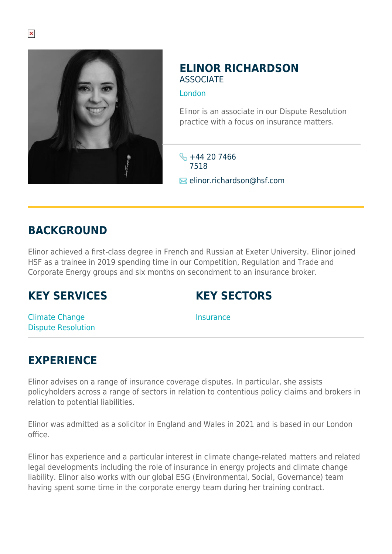

### **ELINOR RICHARDSON** ASSOCIATE

[London](https://www.herbertsmithfreehills.com/lang-zh-hans/where-we-work/london)

Elinor is an associate in our Dispute Resolution practice with a focus on insurance matters.

 $\frac{1}{2}$  +44 20 7466 7518 **E** elinor.richardson@hsf.com

# **BACKGROUND**

Elinor achieved a first-class degree in French and Russian at Exeter University. Elinor joined HSF as a trainee in 2019 spending time in our Competition, Regulation and Trade and Corporate Energy groups and six months on secondment to an insurance broker.

## **KEY SERVICES**

## **KEY SECTORS**

Climate Change Dispute Resolution **Insurance** 

## **EXPERIENCE**

Elinor advises on a range of insurance coverage disputes. In particular, she assists policyholders across a range of sectors in relation to contentious policy claims and brokers in relation to potential liabilities.

Elinor was admitted as a solicitor in England and Wales in 2021 and is based in our London office.

Elinor has experience and a particular interest in climate change-related matters and related legal developments including the role of insurance in energy projects and climate change liability. Elinor also works with our global ESG (Environmental, Social, Governance) team having spent some time in the corporate energy team during her training contract.